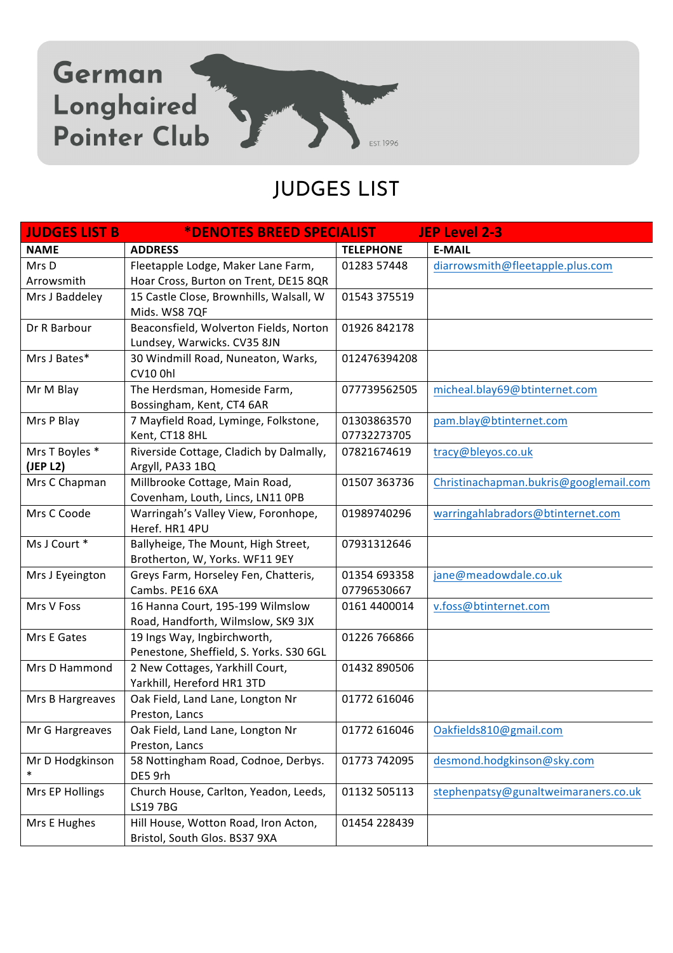

## JUDGES LIST

| <b>JUDGES LIST B</b> | *DENOTES BREED SPECIALIST                             |                  | <b>JEP Level 2-3</b>                   |
|----------------------|-------------------------------------------------------|------------------|----------------------------------------|
| <b>NAME</b>          | <b>ADDRESS</b>                                        | <b>TELEPHONE</b> | <b>E-MAIL</b>                          |
| Mrs D                | Fleetapple Lodge, Maker Lane Farm,                    | 01283 57448      | diarrowsmith@fleetapple.plus.com       |
| Arrowsmith           | Hoar Cross, Burton on Trent, DE15 8QR                 |                  |                                        |
| Mrs J Baddeley       | 15 Castle Close, Brownhills, Walsall, W               | 01543 375519     |                                        |
|                      | Mids. WS8 7QF                                         |                  |                                        |
| Dr R Barbour         | Beaconsfield, Wolverton Fields, Norton                | 01926 842178     |                                        |
|                      | Lundsey, Warwicks. CV35 8JN                           |                  |                                        |
| Mrs J Bates*         | 30 Windmill Road, Nuneaton, Warks,                    | 012476394208     |                                        |
|                      | <b>CV10 0hl</b>                                       |                  |                                        |
| Mr M Blay            | The Herdsman, Homeside Farm,                          | 077739562505     | micheal.blay69@btinternet.com          |
|                      | Bossingham, Kent, CT4 6AR                             |                  |                                        |
| Mrs P Blay           | 7 Mayfield Road, Lyminge, Folkstone,                  | 01303863570      | pam.blay@btinternet.com                |
|                      | Kent, CT18 8HL                                        | 07732273705      |                                        |
| Mrs T Boyles *       | Riverside Cottage, Cladich by Dalmally,               | 07821674619      | tracy@bleyos.co.uk                     |
| (JEP L2)             | Argyll, PA33 1BQ                                      |                  |                                        |
| Mrs C Chapman        | Millbrooke Cottage, Main Road,                        | 01507 363736     | Christinachapman.bukris@googlemail.com |
|                      | Covenham, Louth, Lincs, LN11 OPB                      |                  |                                        |
| Mrs C Coode          | Warringah's Valley View, Foronhope,<br>Heref. HR1 4PU | 01989740296      | warringahlabradors@btinternet.com      |
| Ms J Court *         | Ballyheige, The Mount, High Street,                   | 07931312646      |                                        |
|                      | Brotherton, W, Yorks. WF11 9EY                        |                  |                                        |
| Mrs J Eyeington      | Greys Farm, Horseley Fen, Chatteris,                  | 01354 693358     | jane@meadowdale.co.uk                  |
|                      | Cambs. PE16 6XA                                       | 07796530667      |                                        |
| Mrs V Foss           | 16 Hanna Court, 195-199 Wilmslow                      | 0161 4400014     | v.foss@btinternet.com                  |
|                      | Road, Handforth, Wilmslow, SK9 3JX                    |                  |                                        |
| Mrs E Gates          | 19 Ings Way, Ingbirchworth,                           | 01226 766866     |                                        |
|                      | Penestone, Sheffield, S. Yorks. S30 6GL               |                  |                                        |
| Mrs D Hammond        | 2 New Cottages, Yarkhill Court,                       | 01432 890506     |                                        |
|                      | Yarkhill, Hereford HR1 3TD                            |                  |                                        |
| Mrs B Hargreaves     | Oak Field, Land Lane, Longton Nr                      | 01772 616046     |                                        |
|                      | Preston, Lancs                                        |                  |                                        |
| Mr G Hargreaves      | Oak Field, Land Lane, Longton Nr                      | 01772 616046     | Oakfields810@gmail.com                 |
|                      | Preston, Lancs                                        |                  |                                        |
| Mr D Hodgkinson      | 58 Nottingham Road, Codnoe, Derbys.                   | 01773 742095     | desmond.hodgkinson@sky.com             |
| ∗                    | DE5 9rh                                               |                  |                                        |
| Mrs EP Hollings      | Church House, Carlton, Yeadon, Leeds,                 | 01132 505113     | stephenpatsy@gunaltweimaraners.co.uk   |
|                      | LS19 7BG                                              |                  |                                        |
| Mrs E Hughes         | Hill House, Wotton Road, Iron Acton,                  | 01454 228439     |                                        |
|                      | Bristol, South Glos. BS37 9XA                         |                  |                                        |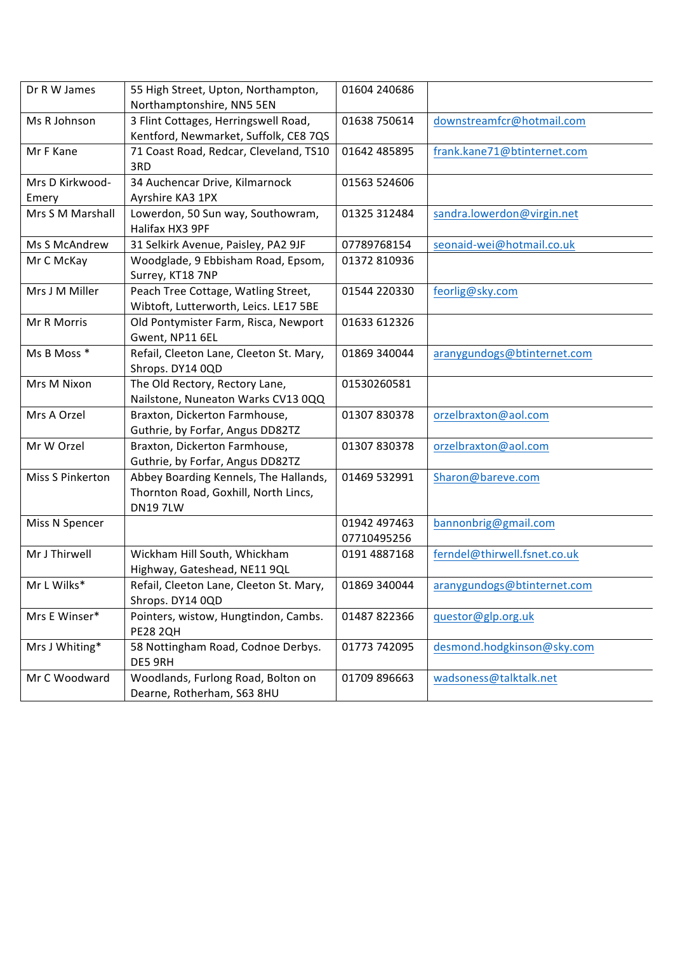| Dr R W James     | 55 High Street, Upton, Northampton,     | 01604 240686 |                              |
|------------------|-----------------------------------------|--------------|------------------------------|
|                  | Northamptonshire, NN5 5EN               |              |                              |
| Ms R Johnson     | 3 Flint Cottages, Herringswell Road,    | 01638 750614 | downstreamfcr@hotmail.com    |
|                  | Kentford, Newmarket, Suffolk, CE8 7QS   |              |                              |
| Mr F Kane        | 71 Coast Road, Redcar, Cleveland, TS10  | 01642 485895 | frank.kane71@btinternet.com  |
|                  | 3RD                                     |              |                              |
| Mrs D Kirkwood-  | 34 Auchencar Drive, Kilmarnock          | 01563 524606 |                              |
| Emery            | Ayrshire KA3 1PX                        |              |                              |
| Mrs S M Marshall | Lowerdon, 50 Sun way, Southowram,       | 01325 312484 | sandra.lowerdon@virgin.net   |
|                  | Halifax HX3 9PF                         |              |                              |
| Ms S McAndrew    | 31 Selkirk Avenue, Paisley, PA2 9JF     | 07789768154  | seonaid-wei@hotmail.co.uk    |
| Mr C McKay       | Woodglade, 9 Ebbisham Road, Epsom,      | 01372 810936 |                              |
|                  | Surrey, KT18 7NP                        |              |                              |
| Mrs J M Miller   | Peach Tree Cottage, Watling Street,     | 01544 220330 | feorlig@sky.com              |
|                  | Wibtoft, Lutterworth, Leics. LE17 5BE   |              |                              |
| Mr R Morris      | Old Pontymister Farm, Risca, Newport    | 01633 612326 |                              |
|                  | Gwent, NP11 6EL                         |              |                              |
| Ms B Moss *      | Refail, Cleeton Lane, Cleeton St. Mary, | 01869 340044 | aranygundogs@btinternet.com  |
|                  | Shrops. DY14 0QD                        |              |                              |
| Mrs M Nixon      | The Old Rectory, Rectory Lane,          | 01530260581  |                              |
|                  | Nailstone, Nuneaton Warks CV13 0QQ      |              |                              |
| Mrs A Orzel      | Braxton, Dickerton Farmhouse,           | 01307830378  | orzelbraxton@aol.com         |
|                  | Guthrie, by Forfar, Angus DD82TZ        |              |                              |
| Mr W Orzel       | Braxton, Dickerton Farmhouse,           | 01307830378  | orzelbraxton@aol.com         |
|                  | Guthrie, by Forfar, Angus DD82TZ        |              |                              |
| Miss S Pinkerton | Abbey Boarding Kennels, The Hallands,   | 01469 532991 | Sharon@bareve.com            |
|                  | Thornton Road, Goxhill, North Lincs,    |              |                              |
|                  | <b>DN197LW</b>                          |              |                              |
| Miss N Spencer   |                                         | 01942 497463 | bannonbrig@gmail.com         |
|                  |                                         | 07710495256  |                              |
| Mr J Thirwell    | Wickham Hill South, Whickham            | 0191 4887168 | ferndel@thirwell.fsnet.co.uk |
|                  | Highway, Gateshead, NE11 9QL            |              |                              |
| Mr L Wilks*      | Refail, Cleeton Lane, Cleeton St. Mary, | 01869 340044 | aranygundogs@btinternet.com  |
|                  | Shrops. DY14 0QD                        |              |                              |
| Mrs E Winser*    | Pointers, wistow, Hungtindon, Cambs.    | 01487 822366 | questor@glp.org.uk           |
|                  | <b>PE28 2QH</b>                         |              |                              |
| Mrs J Whiting*   | 58 Nottingham Road, Codnoe Derbys.      | 01773 742095 | desmond.hodgkinson@sky.com   |
|                  | DE5 9RH                                 |              |                              |
| Mr C Woodward    | Woodlands, Furlong Road, Bolton on      | 01709 896663 | wadsoness@talktalk.net       |
|                  | Dearne, Rotherham, S63 8HU              |              |                              |